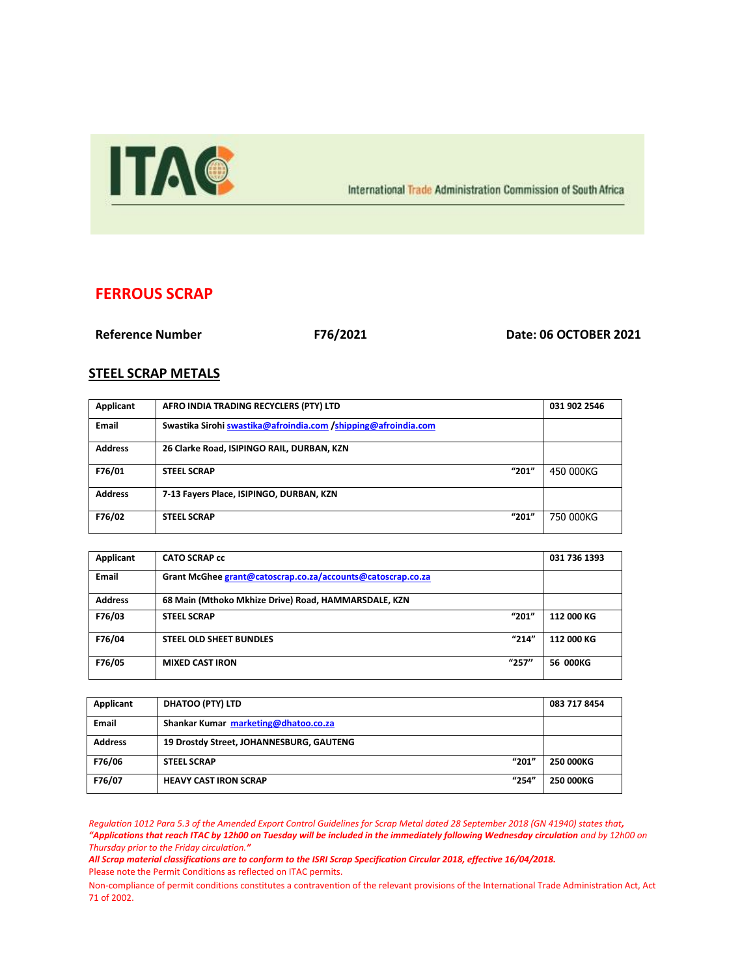

International Trade Administration Commission of South Africa

## **FERROUS SCRAP**

**Reference Number F76/2021 Date: 06 OCTOBER 2021**

## **STEEL SCRAP METALS**

| Applicant      | AFRO INDIA TRADING RECYCLERS (PTY) LTD                         | 031 902 2546 |
|----------------|----------------------------------------------------------------|--------------|
| Email          | Swastika Sirohi swastika@afroindia.com /shipping@afroindia.com |              |
| <b>Address</b> | 26 Clarke Road, ISIPINGO RAIL, DURBAN, KZN                     |              |
| F76/01         | "201"<br><b>STEEL SCRAP</b>                                    | 450 000KG    |
| <b>Address</b> | 7-13 Fayers Place, ISIPINGO, DURBAN, KZN                       |              |
| F76/02         | "201"<br><b>STEEL SCRAP</b>                                    | 750 000KG    |

| Applicant      | <b>CATO SCRAP cc</b>                                        |       | 031 736 1393 |
|----------------|-------------------------------------------------------------|-------|--------------|
| <b>Email</b>   | Grant McGhee grant@catoscrap.co.za/accounts@catoscrap.co.za |       |              |
| <b>Address</b> | 68 Main (Mthoko Mkhize Drive) Road, HAMMARSDALE, KZN        |       |              |
| F76/03         | <b>STEEL SCRAP</b>                                          | "201" | 112 000 KG   |
| F76/04         | <b>STEEL OLD SHEET BUNDLES</b>                              | "214" | 112 000 KG   |
| F76/05         | <b>MIXED CAST IRON</b>                                      | "257" | 56 000KG     |

| Applicant      | DHATOO (PTY) LTD                         | 083 717 8454     |
|----------------|------------------------------------------|------------------|
| <b>Email</b>   | Shankar Kumar marketing@dhatoo.co.za     |                  |
| <b>Address</b> | 19 Drostdy Street, JOHANNESBURG, GAUTENG |                  |
| F76/06         | "201"<br><b>STEEL SCRAP</b>              | <b>250 000KG</b> |
| F76/07         | "254"<br><b>HEAVY CAST IRON SCRAP</b>    | <b>250 000KG</b> |

*Regulation 1012 Para 5.3 of the Amended Export Control Guidelines for Scrap Metal dated 28 September 2018 (GN 41940) states that, "Applications that reach ITAC by 12h00 on Tuesday will be included in the immediately following Wednesday circulation and by 12h00 on Thursday prior to the Friday circulation."*

*All Scrap material classifications are to conform to the ISRI Scrap Specification Circular 2018, effective 16/04/2018.* Please note the Permit Conditions as reflected on ITAC permits.

Non-compliance of permit conditions constitutes a contravention of the relevant provisions of the International Trade Administration Act, Act 71 of 2002.